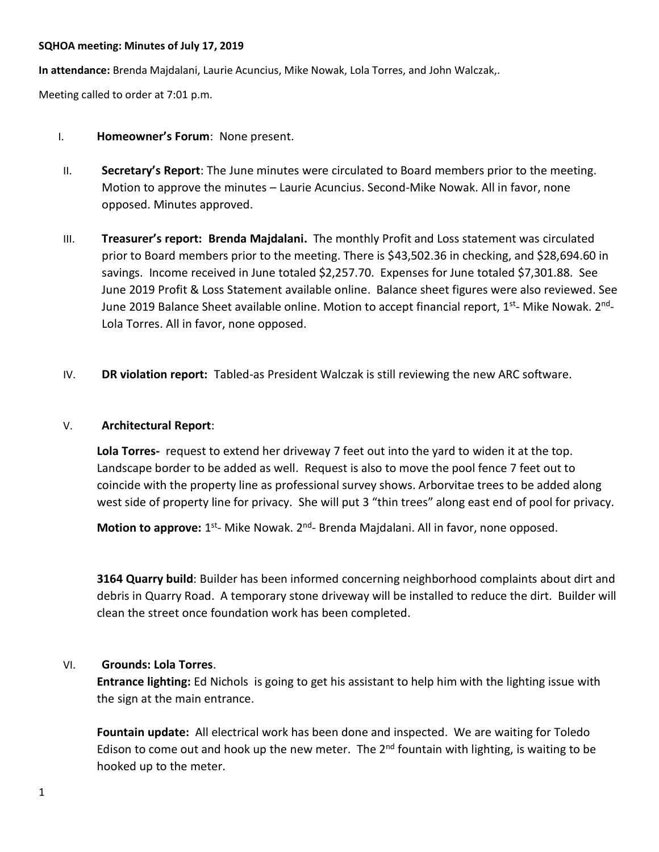### **SQHOA meeting: Minutes of July 17, 2019**

**In attendance:** Brenda Majdalani, Laurie Acuncius, Mike Nowak, Lola Torres, and John Walczak,.

Meeting called to order at 7:01 p.m.

- I. **Homeowner's Forum**: None present.
- II. **Secretary's Report**: The June minutes were circulated to Board members prior to the meeting. Motion to approve the minutes – Laurie Acuncius. Second-Mike Nowak. All in favor, none opposed. Minutes approved.
- III. **Treasurer's report: Brenda Majdalani.** The monthly Profit and Loss statement was circulated prior to Board members prior to the meeting. There is \$43,502.36 in checking, and \$28,694.60 in savings. Income received in June totaled \$2,257.70. Expenses for June totaled \$7,301.88. See June 2019 Profit & Loss Statement available online. Balance sheet figures were also reviewed. See June 2019 Balance Sheet available online. Motion to accept financial report, 1<sup>st</sup>- Mike Nowak. 2<sup>nd</sup>-Lola Torres. All in favor, none opposed.
- IV. **DR violation report:** Tabled-as President Walczak is still reviewing the new ARC software.

### V. **Architectural Report**:

**Lola Torres-** request to extend her driveway 7 feet out into the yard to widen it at the top. Landscape border to be added as well. Request is also to move the pool fence 7 feet out to coincide with the property line as professional survey shows. Arborvitae trees to be added along west side of property line for privacy. She will put 3 "thin trees" along east end of pool for privacy.

Motion to approve: 1<sup>st</sup>- Mike Nowak. 2<sup>nd</sup>- Brenda Majdalani. All in favor, none opposed.

**3164 Quarry build**: Builder has been informed concerning neighborhood complaints about dirt and debris in Quarry Road. A temporary stone driveway will be installed to reduce the dirt. Builder will clean the street once foundation work has been completed.

## VI. **Grounds: Lola Torres**.

**Entrance lighting:** Ed Nichols is going to get his assistant to help him with the lighting issue with the sign at the main entrance.

**Fountain update:** All electrical work has been done and inspected. We are waiting for Toledo Edison to come out and hook up the new meter. The  $2<sup>nd</sup>$  fountain with lighting, is waiting to be hooked up to the meter.